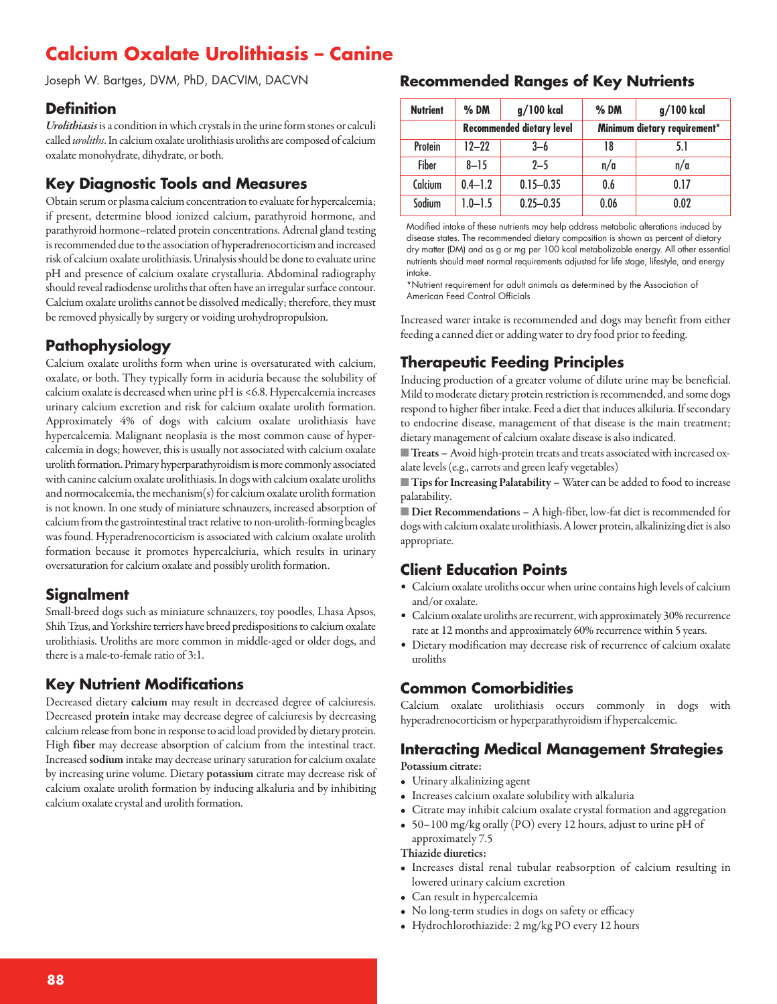# **Calcium Oxalate Urolithiasis – Canine**

Joseph W. Bartges, DVM, PhD, DACVIM, DACVN

#### **Definition**

Urolithiasis is a condition in which crystals in the urine form stones or calculi called *uroliths*. In calcium oxalate urolithiasis uroliths are composed of calcium oxalate monohydrate, dihydrate, or both.

### **Key Diagnostic Tools and Measures**

Obtain serum or plasma calcium concentration to evaluate for hypercalcemia; if present, determine blood ionized calcium, parathyroid hormone, and parathyroid hormone–related protein concentrations. Adrenal gland testing is recommended due to the association of hyperadrenocorticism and increased risk of calcium oxalate urolithiasis. Urinalysis should be done to evaluate urine pH and presence of calcium oxalate crystalluria. Abdominal radiography should reveal radiodense uroliths that often have an irregular surface contour. Calcium oxalate uroliths cannot be dissolved medically; therefore, they must be removed physically by surgery or voiding urohydropropulsion.

# **Pathophysiology**

Calcium oxalate uroliths form when urine is oversaturated with calcium, oxalate, or both. They typically form in aciduria because the solubility of calcium oxalate is decreased when urine pH is <6.8. Hypercalcemia increases urinary calcium excretion and risk for calcium oxalate urolith formation. Approximately 4% of dogs with calcium oxalate urolithiasis have hypercalcemia. Malignant neoplasia is the most common cause of hypercalcemia in dogs; however, this is usually not associated with calcium oxalate urolith formation. Primary hyperparathyroidism is more commonly associated with canine calcium oxalate urolithiasis. In dogs with calcium oxalate uroliths and normocalcemia, the mechanism $(s)$  for calcium oxalate urolith formation is not known. In one study of miniature schnauzers, increased absorption of calcium from the gastrointestinal tract relative to non-urolith-forming beagles was found. Hyperadrenocorticism is associated with calcium oxalate urolith formation because it promotes hypercalciuria, which results in urinary oversaturation for calcium oxalate and possibly urolith formation.

# **Signalment**

Small-breed dogs such as miniature schnauzers, toy poodles, Lhasa Apsos, Shih Tzus, and Yorkshire terriers have breed predispositions to calcium oxalate urolithiasis. Uroliths are more common in middle-aged or older dogs, and there is a male-to-female ratio of 3:1.

# **Key Nutrient Modifications**

Decreased dietary **calcium** may result in decreased degree of calciuresis. Decreased **protein** intake may decrease degree of calciuresis by decreasing calcium release from bone in response to acid load provided by dietary protein. High **fiber** may decrease absorption of calcium from the intestinal tract. Increased **sodium** intake may decrease urinary saturation forcalcium oxalate by increasing urine volume. Dietary **potassium** citrate may decrease risk of calcium oxalate urolith formation by inducing alkaluria and by inhibiting calcium oxalate crystal and urolith formation.

#### **Recommended Ranges of Key Nutrients**

| <b>Nutrient</b> | $%$ DM                           | g/100 kcal    | $%$ DM                       | g/100 kcal |
|-----------------|----------------------------------|---------------|------------------------------|------------|
|                 | <b>Recommended dietary level</b> |               | Minimum dietary requirement* |            |
| Protein         | $12 - 22$                        | $3-6$         | 18                           | 5.1        |
| Fiber           | $8 - 15$                         | $2 - 5$       | n/a                          | n/a        |
| Calcium         | $0.4 - 1.2$                      | $0.15 - 0.35$ | 0.6                          | 0.17       |
| Sodium          | $1.0 - 1.5$                      | $0.25 - 0.35$ | 0.06                         | 0.02       |

Modified intake of these nutrients may help address metabolic alterations induced by disease states. The recommended dietary composition is shown as percent of dietary dry matter (DM) and as g or mg per 100 kcal metabolizable energy. All other essential nutrients should meet normal requirements adjusted for life stage, lifestyle, and energy intake.

\*Nutrient requirement for adult animals as determined by the Association of American Feed Control Officials

Increased water intake is recommended and dogs may benefit from either feeding a canned diet or adding water to dry food prior to feeding.

# **Therapeutic Feeding Principles**

Inducing production of a greater volume of dilute urine may be beneficial. Mild to moderate dietary protein restriction is recommended, and some dogs respond to higher fiber intake. Feed a diet that induces alkiluria. If secondary to endocrine disease, management of that disease is the main treatment; dietary management of calcium oxalate disease is also indicated.

**Treats** - Avoid high-protein treats and treats associated with increased oxalate levels (e.g., carrots and green leafy vegetables)

■ **Tips for Increasing Palatability** − Water can be added to food to increase palatability.

■ **Diet Recommendations** - A high-fiber, low-fat diet is recommended for dogs with calcium oxalate urolithiasis. A lower protein, alkalinizing diet is also appropriate.

### **Client Education Points**

- Calcium oxalate uroliths occur when urine contains high levels of calcium and/or oxalate.
- Calcium oxalate uroliths are recurrent, with approximately 30% recurrence rate at 12 months and approximately 60% recurrence within 5 years.
- Dietary modification may decrease risk of recurrence of calcium oxalate uroliths

# **Common Comorbidities**

Calcium oxalate urolithiasis occurs commonly in dogs with hyperadrenocorticism or hyperparathyroidism if hypercalcemic.

### **Interacting Medical Management Strategies**

**Potassium citrate:**

- Urinary alkalinizing agent
- Increases calcium oxalate solubility with alkaluria
- Citrate may inhibit calcium oxalate crystal formation and aggregation
- 50–100 mg/kg orally (PO) every 12 hours, adjust to urine pH of approximately 7.5

**Thiazide diuretics:**

- Increases distal renal tubular reabsorption of calcium resulting in lowered urinary calcium excretion
- Can result in hypercalcemia
- No long-term studies in dogs on safety or efficacy
- Hydrochlorothiazide: 2 mg/kg PO every 12 hours